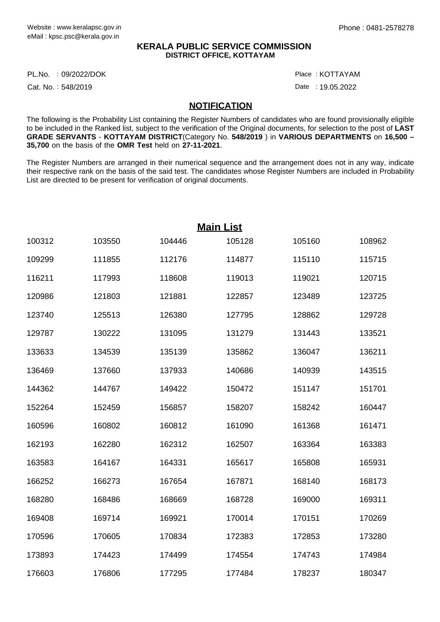## **KERALA PUBLIC SERVICE COMMISSION DISTRICT OFFICE, KOTTAYAM**

PL.No. :09/2022/DOK Place

Cat. No.: 548/2019

: KOTTAYAM

Date : 19.05.2022

## **NOTIFICATION**

The following is the Probability List containing the Register Numbers of candidates who are found provisionally eligible to be included in the Ranked list, subject to the verification of the Original documents, for selection to the post of **LAST GRADE SERVANTS** - **KOTTAYAM DISTRICT**(Category No. **548/2019** ) in **VARIOUS DEPARTMENTS** on **16,500 – 35,700** on the basis of the **OMR Test** held on **27-11-2021**.

The Register Numbers are arranged in their numerical sequence and the arrangement does not in any way, indicate their respective rank on the basis of the said test. The candidates whose Register Numbers are included in Probability List are directed to be present for verification of original documents.

|        |        |        | <b>Main List</b> |        |        |
|--------|--------|--------|------------------|--------|--------|
| 100312 | 103550 | 104446 | 105128           | 105160 | 108962 |
| 109299 | 111855 | 112176 | 114877           | 115110 | 115715 |
| 116211 | 117993 | 118608 | 119013           | 119021 | 120715 |
| 120986 | 121803 | 121881 | 122857           | 123489 | 123725 |
| 123740 | 125513 | 126380 | 127795           | 128862 | 129728 |
| 129787 | 130222 | 131095 | 131279           | 131443 | 133521 |
| 133633 | 134539 | 135139 | 135862           | 136047 | 136211 |
| 136469 | 137660 | 137933 | 140686           | 140939 | 143515 |
| 144362 | 144767 | 149422 | 150472           | 151147 | 151701 |
| 152264 | 152459 | 156857 | 158207           | 158242 | 160447 |
| 160596 | 160802 | 160812 | 161090           | 161368 | 161471 |
| 162193 | 162280 | 162312 | 162507           | 163364 | 163383 |
| 163583 | 164167 | 164331 | 165617           | 165808 | 165931 |
| 166252 | 166273 | 167654 | 167871           | 168140 | 168173 |
| 168280 | 168486 | 168669 | 168728           | 169000 | 169311 |
| 169408 | 169714 | 169921 | 170014           | 170151 | 170269 |
| 170596 | 170605 | 170834 | 172383           | 172853 | 173280 |
| 173893 | 174423 | 174499 | 174554           | 174743 | 174984 |
| 176603 | 176806 | 177295 | 177484           | 178237 | 180347 |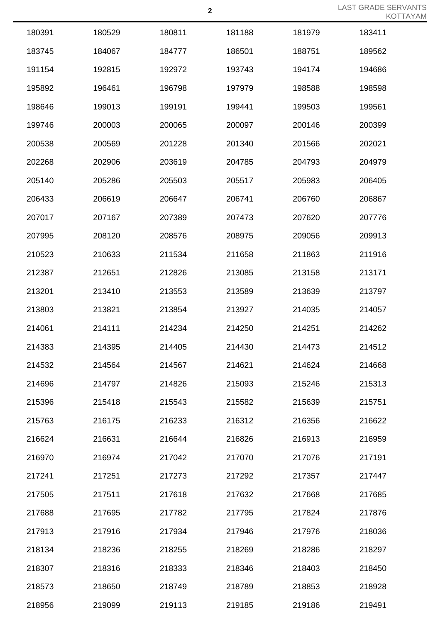LAST GRADE SERVANTS KOTTAYAM

|        |        |        |        |        | I V I  |
|--------|--------|--------|--------|--------|--------|
| 180391 | 180529 | 180811 | 181188 | 181979 | 183411 |
| 183745 | 184067 | 184777 | 186501 | 188751 | 189562 |
| 191154 | 192815 | 192972 | 193743 | 194174 | 194686 |
| 195892 | 196461 | 196798 | 197979 | 198588 | 198598 |
| 198646 | 199013 | 199191 | 199441 | 199503 | 199561 |
| 199746 | 200003 | 200065 | 200097 | 200146 | 200399 |
| 200538 | 200569 | 201228 | 201340 | 201566 | 202021 |
| 202268 | 202906 | 203619 | 204785 | 204793 | 204979 |
| 205140 | 205286 | 205503 | 205517 | 205983 | 206405 |
| 206433 | 206619 | 206647 | 206741 | 206760 | 206867 |
| 207017 | 207167 | 207389 | 207473 | 207620 | 207776 |
| 207995 | 208120 | 208576 | 208975 | 209056 | 209913 |
| 210523 | 210633 | 211534 | 211658 | 211863 | 211916 |
| 212387 | 212651 | 212826 | 213085 | 213158 | 213171 |
| 213201 | 213410 | 213553 | 213589 | 213639 | 213797 |
| 213803 | 213821 | 213854 | 213927 | 214035 | 214057 |
| 214061 | 214111 | 214234 | 214250 | 214251 | 214262 |
| 214383 | 214395 | 214405 | 214430 | 214473 | 214512 |
| 214532 | 214564 | 214567 | 214621 | 214624 | 214668 |
| 214696 | 214797 | 214826 | 215093 | 215246 | 215313 |
| 215396 | 215418 | 215543 | 215582 | 215639 | 215751 |
| 215763 | 216175 | 216233 | 216312 | 216356 | 216622 |
| 216624 | 216631 | 216644 | 216826 | 216913 | 216959 |
| 216970 | 216974 | 217042 | 217070 | 217076 | 217191 |
| 217241 | 217251 | 217273 | 217292 | 217357 | 217447 |
| 217505 | 217511 | 217618 | 217632 | 217668 | 217685 |
| 217688 | 217695 | 217782 | 217795 | 217824 | 217876 |
| 217913 | 217916 | 217934 | 217946 | 217976 | 218036 |
| 218134 | 218236 | 218255 | 218269 | 218286 | 218297 |
| 218307 | 218316 | 218333 | 218346 | 218403 | 218450 |
| 218573 | 218650 | 218749 | 218789 | 218853 | 218928 |
| 218956 | 219099 | 219113 | 219185 | 219186 | 219491 |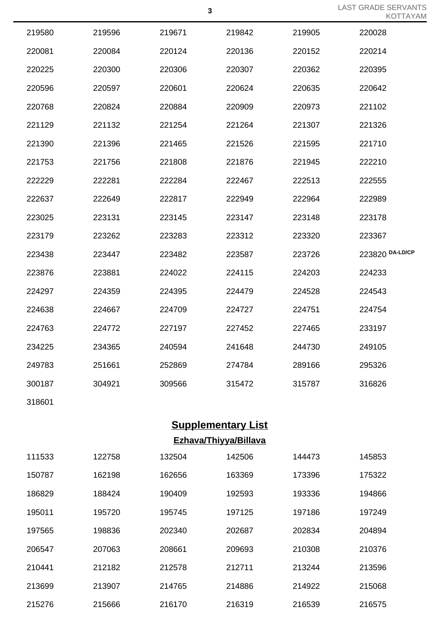LAST GRADE SERVANTS KOTTAYAM

| 219580 | 219596 | 219671 | 219842 | 219905 | 220028          |
|--------|--------|--------|--------|--------|-----------------|
| 220081 | 220084 | 220124 | 220136 | 220152 | 220214          |
| 220225 | 220300 | 220306 | 220307 | 220362 | 220395          |
| 220596 | 220597 | 220601 | 220624 | 220635 | 220642          |
| 220768 | 220824 | 220884 | 220909 | 220973 | 221102          |
| 221129 | 221132 | 221254 | 221264 | 221307 | 221326          |
| 221390 | 221396 | 221465 | 221526 | 221595 | 221710          |
| 221753 | 221756 | 221808 | 221876 | 221945 | 222210          |
| 222229 | 222281 | 222284 | 222467 | 222513 | 222555          |
| 222637 | 222649 | 222817 | 222949 | 222964 | 222989          |
| 223025 | 223131 | 223145 | 223147 | 223148 | 223178          |
| 223179 | 223262 | 223283 | 223312 | 223320 | 223367          |
| 223438 | 223447 | 223482 | 223587 | 223726 | 223820 DA-LD/CP |
| 223876 | 223881 | 224022 | 224115 | 224203 | 224233          |
| 224297 | 224359 | 224395 | 224479 | 224528 | 224543          |
| 224638 | 224667 | 224709 | 224727 | 224751 | 224754          |
| 224763 | 224772 | 227197 | 227452 | 227465 | 233197          |
| 234225 | 234365 | 240594 | 241648 | 244730 | 249105          |
| 249783 | 251661 | 252869 | 274784 | 289166 | 295326          |
| 300187 | 304921 | 309566 | 315472 | 315787 | 316826          |
|        |        |        |        |        |                 |

## **Supplementary List Ezhava/Thiyya/Billava**

| 111533 | 122758 | 132504 | 142506 | 144473 | 145853 |
|--------|--------|--------|--------|--------|--------|
| 150787 | 162198 | 162656 | 163369 | 173396 | 175322 |
| 186829 | 188424 | 190409 | 192593 | 193336 | 194866 |
| 195011 | 195720 | 195745 | 197125 | 197186 | 197249 |
| 197565 | 198836 | 202340 | 202687 | 202834 | 204894 |
| 206547 | 207063 | 208661 | 209693 | 210308 | 210376 |
| 210441 | 212182 | 212578 | 212711 | 213244 | 213596 |
| 213699 | 213907 | 214765 | 214886 | 214922 | 215068 |
| 215276 | 215666 | 216170 | 216319 | 216539 | 216575 |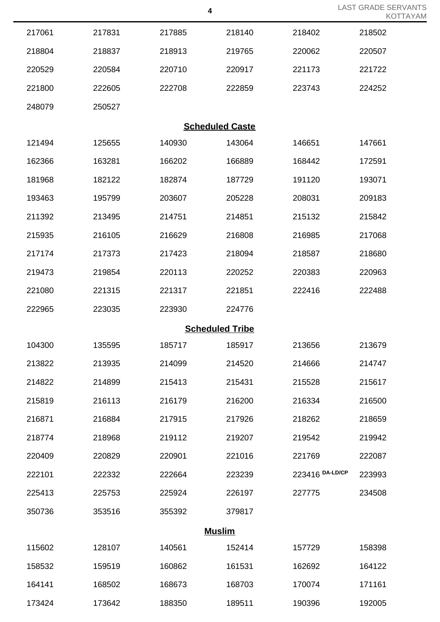|                        |        |        | 4                      |                 | <b>LAST GRADE SERVANTS</b><br><b>KOTTAYAM</b> |  |  |  |
|------------------------|--------|--------|------------------------|-----------------|-----------------------------------------------|--|--|--|
| 217061                 | 217831 | 217885 | 218140                 | 218402          | 218502                                        |  |  |  |
| 218804                 | 218837 | 218913 | 219765                 | 220062          | 220507                                        |  |  |  |
| 220529                 | 220584 | 220710 | 220917                 | 221173          | 221722                                        |  |  |  |
| 221800                 | 222605 | 222708 | 222859                 | 223743          | 224252                                        |  |  |  |
| 248079                 | 250527 |        |                        |                 |                                               |  |  |  |
| <b>Scheduled Caste</b> |        |        |                        |                 |                                               |  |  |  |
| 121494                 | 125655 | 140930 | 143064                 | 146651          | 147661                                        |  |  |  |
| 162366                 | 163281 | 166202 | 166889                 | 168442          | 172591                                        |  |  |  |
| 181968                 | 182122 | 182874 | 187729                 | 191120          | 193071                                        |  |  |  |
| 193463                 | 195799 | 203607 | 205228                 | 208031          | 209183                                        |  |  |  |
| 211392                 | 213495 | 214751 | 214851                 | 215132          | 215842                                        |  |  |  |
| 215935                 | 216105 | 216629 | 216808                 | 216985          | 217068                                        |  |  |  |
| 217174                 | 217373 | 217423 | 218094                 | 218587          | 218680                                        |  |  |  |
| 219473                 | 219854 | 220113 | 220252                 | 220383          | 220963                                        |  |  |  |
| 221080                 | 221315 | 221317 | 221851                 | 222416          | 222488                                        |  |  |  |
| 222965                 | 223035 | 223930 | 224776                 |                 |                                               |  |  |  |
|                        |        |        | <b>Scheduled Tribe</b> |                 |                                               |  |  |  |
| 104300                 | 135595 | 185717 | 185917                 | 213656          | 213679                                        |  |  |  |
| 213822                 | 213935 | 214099 | 214520                 | 214666          | 214747                                        |  |  |  |
| 214822                 | 214899 | 215413 | 215431                 | 215528          | 215617                                        |  |  |  |
| 215819                 | 216113 | 216179 | 216200                 | 216334          | 216500                                        |  |  |  |
| 216871                 | 216884 | 217915 | 217926                 | 218262          | 218659                                        |  |  |  |
| 218774                 | 218968 | 219112 | 219207                 | 219542          | 219942                                        |  |  |  |
| 220409                 | 220829 | 220901 | 221016                 | 221769          | 222087                                        |  |  |  |
| 222101                 | 222332 | 222664 | 223239                 | 223416 DA-LD/CP | 223993                                        |  |  |  |
| 225413                 | 225753 | 225924 | 226197                 | 227775          | 234508                                        |  |  |  |
| 350736                 | 353516 | 355392 | 379817                 |                 |                                               |  |  |  |
| <b>Muslim</b>          |        |        |                        |                 |                                               |  |  |  |
| 115602                 | 128107 | 140561 | 152414                 | 157729          | 158398                                        |  |  |  |
| 158532                 | 159519 | 160862 | 161531                 | 162692          | 164122                                        |  |  |  |
| 164141                 | 168502 | 168673 | 168703                 | 170074          | 171161                                        |  |  |  |
| 173424                 | 173642 | 188350 | 189511                 | 190396          | 192005                                        |  |  |  |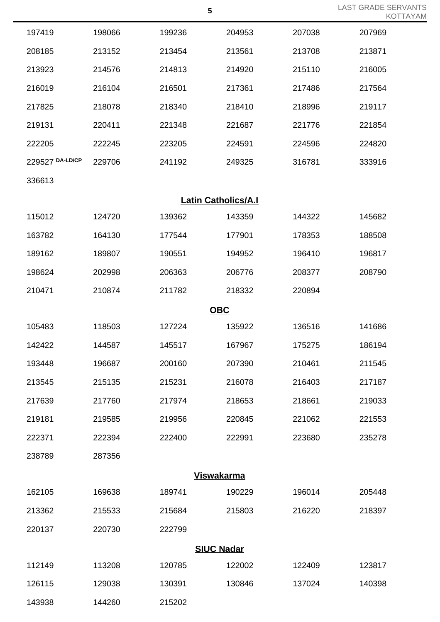|                   |        |                            |        |        | <b>LLC</b> |  |  |
|-------------------|--------|----------------------------|--------|--------|------------|--|--|
| 197419            | 198066 | 199236                     | 204953 | 207038 | 207969     |  |  |
| 208185            | 213152 | 213454                     | 213561 | 213708 | 213871     |  |  |
| 213923            | 214576 | 214813                     | 214920 | 215110 | 216005     |  |  |
| 216019            | 216104 | 216501                     | 217361 | 217486 | 217564     |  |  |
| 217825            | 218078 | 218340                     | 218410 | 218996 | 219117     |  |  |
| 219131            | 220411 | 221348                     | 221687 | 221776 | 221854     |  |  |
| 222205            | 222245 | 223205                     | 224591 | 224596 | 224820     |  |  |
| 229527 DA-LD/CP   | 229706 | 241192                     | 249325 | 316781 | 333916     |  |  |
| 336613            |        |                            |        |        |            |  |  |
|                   |        | <b>Latin Catholics/A.I</b> |        |        |            |  |  |
| 115012            | 124720 | 139362                     | 143359 | 144322 | 145682     |  |  |
| 163782            | 164130 | 177544                     | 177901 | 178353 | 188508     |  |  |
| 189162            | 189807 | 190551                     | 194952 | 196410 | 196817     |  |  |
| 198624            | 202998 | 206363                     | 206776 | 208377 | 208790     |  |  |
| 210471            | 210874 | 211782                     | 218332 | 220894 |            |  |  |
|                   |        | <b>OBC</b>                 |        |        |            |  |  |
| 105483            | 118503 | 127224                     | 135922 | 136516 | 141686     |  |  |
| 142422            | 144587 | 145517                     | 167967 | 175275 | 186194     |  |  |
| 193448            | 196687 | 200160                     | 207390 | 210461 | 211545     |  |  |
| 213545            | 215135 | 215231                     | 216078 | 216403 | 217187     |  |  |
| 217639            | 217760 | 217974                     | 218653 | 218661 | 219033     |  |  |
| 219181            | 219585 | 219956                     | 220845 | 221062 | 221553     |  |  |
| 222371            | 222394 | 222400                     | 222991 | 223680 | 235278     |  |  |
| 238789            | 287356 |                            |        |        |            |  |  |
| <b>Viswakarma</b> |        |                            |        |        |            |  |  |
| 162105            | 169638 | 189741                     | 190229 | 196014 | 205448     |  |  |
| 213362            | 215533 | 215684                     | 215803 | 216220 | 218397     |  |  |
| 220137            | 220730 | 222799                     |        |        |            |  |  |
|                   |        | <b>SIUC Nadar</b>          |        |        |            |  |  |
| 112149            | 113208 | 120785                     | 122002 | 122409 | 123817     |  |  |
| 126115            | 129038 | 130391                     | 130846 | 137024 | 140398     |  |  |
| 143938            | 144260 | 215202                     |        |        |            |  |  |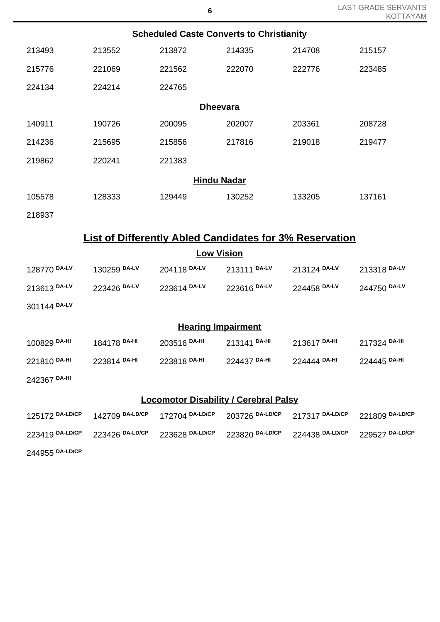|                                                                |                         | <b>Scheduled Caste Converts to Christianity</b> |                         |                 |                 |  |  |  |
|----------------------------------------------------------------|-------------------------|-------------------------------------------------|-------------------------|-----------------|-----------------|--|--|--|
| 213493                                                         | 213552                  | 213872                                          | 214335                  | 214708          | 215157          |  |  |  |
| 215776                                                         | 221069                  | 221562                                          | 222070                  | 222776          | 223485          |  |  |  |
| 224134                                                         | 224214                  | 224765                                          |                         |                 |                 |  |  |  |
|                                                                |                         | <b>Dheevara</b>                                 |                         |                 |                 |  |  |  |
| 140911                                                         | 190726                  | 200095                                          | 202007                  | 203361          | 208728          |  |  |  |
| 214236                                                         | 215695                  | 215856                                          | 217816                  | 219018          | 219477          |  |  |  |
| 219862                                                         | 220241                  | 221383                                          |                         |                 |                 |  |  |  |
|                                                                | <b>Hindu Nadar</b>      |                                                 |                         |                 |                 |  |  |  |
| 105578                                                         | 128333                  | 129449                                          | 130252                  | 133205          | 137161          |  |  |  |
| 218937                                                         |                         |                                                 |                         |                 |                 |  |  |  |
| <b>List of Differently Abled Candidates for 3% Reservation</b> |                         |                                                 |                         |                 |                 |  |  |  |
|                                                                |                         | <b>Low Vision</b>                               |                         |                 |                 |  |  |  |
| 128770 DA-LV                                                   | 130259 DA-LV            | 204118 DA-LV                                    | 213111 DA-LV            | 213124 DA-LV    | 213318 DA-LV    |  |  |  |
| 213613 DA-LV                                                   | 223426 DA-LV            | 223614 DA-LV                                    | 223616 DA-LV            | 224458 DA-LV    | 244750 DA-LV    |  |  |  |
| 301144 DA-LV                                                   |                         |                                                 |                         |                 |                 |  |  |  |
|                                                                |                         | <b>Hearing Impairment</b>                       |                         |                 |                 |  |  |  |
| 100829 DA-HI                                                   | 184178 <sup>DA-HI</sup> | 203516 DA-HI                                    | 213141 <sup>DA-HI</sup> | 213617 DA-HI    | 217324 DA-HI    |  |  |  |
| 221810 DA-HI                                                   | 223814 DA-HI            | 223818 DA-HI                                    | 224437 DA-HI            | 224444 DA-HI    | 224445 DA-HI    |  |  |  |
| 242367 DA-HI                                                   |                         |                                                 |                         |                 |                 |  |  |  |
| <b>Locomotor Disability / Cerebral Palsy</b>                   |                         |                                                 |                         |                 |                 |  |  |  |
| 125172 DA-LD/CP                                                | 142709 DA-LD/CP         | 172704 DA-LD/CP                                 | 203726 DA-LD/CP         | 217317 DA-LD/CP | 221809 DA-LD/CP |  |  |  |
| 223419 DA-LD/CP                                                | 223426 DA-LD/CP         | 223628 DA-LD/CP                                 | 223820 DA-LD/CP         | 224438 DA-LD/CP | 229527 DA-LD/CP |  |  |  |
| 244955 DA-LD/CP                                                |                         |                                                 |                         |                 |                 |  |  |  |